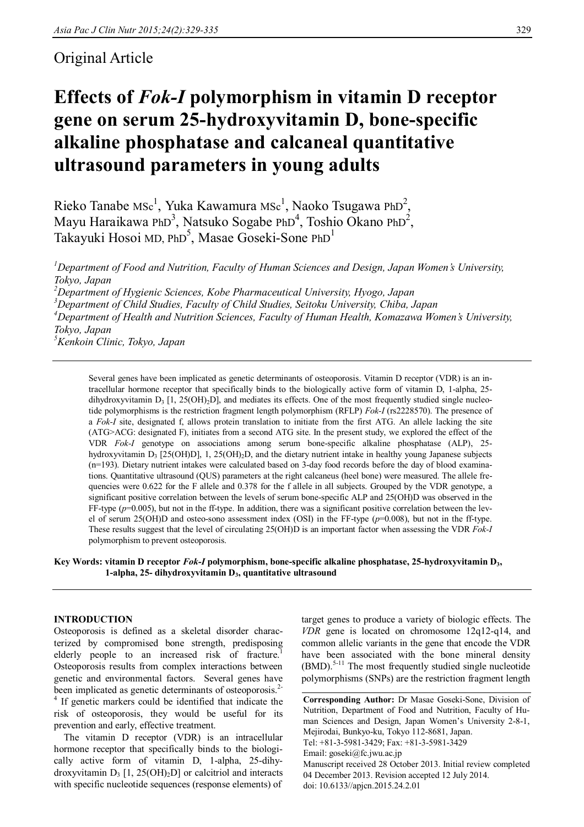# Original Article

# **Effects of** *Fok-I* **polymorphism in vitamin D receptor gene on serum 25-hydroxyvitamin D, bone-specific alkaline phosphatase and calcaneal quantitative ultrasound parameters in young adults**

Rieko Tanabe MSc<sup>1</sup>, Yuka Kawamura MSc<sup>1</sup>, Naoko Tsugawa PhD<sup>2</sup>, Mayu Haraikawa PhD<sup>3</sup>, Natsuko Sogabe PhD<sup>4</sup>, Toshio Okano PhD<sup>2</sup>, Takayuki Hosoi MD, PhD<sup>5</sup>, Masae Goseki-Sone PhD<sup>1</sup>

*Department of Food and Nutrition, Faculty of Human Sciences and Design, Japan Women's University, Tokyo, Japan Department of Hygienic Sciences, Kobe Pharmaceutical University, Hyogo, Japan Department of Child Studies, Faculty of Child Studies, Seitoku University, Chiba, Japan Department of Health and Nutrition Sciences, Faculty of Human Health, Komazawa Women's University, Tokyo, Japan Kenkoin Clinic, Tokyo, Japan*

Several genes have been implicated as genetic determinants of osteoporosis. Vitamin D receptor (VDR) is an intracellular hormone receptor that specifically binds to the biologically active form of vitamin D, 1-alpha, 25 dihydroxyvitamin  $D_3$  [1, 25(OH)<sub>2</sub>D], and mediates its effects. One of the most frequently studied single nucleotide polymorphisms is the restriction fragment length polymorphism (RFLP) *Fok-I* (rs2228570). The presence of a *Fok-I* site, designated f, allows protein translation to initiate from the first ATG. An allele lacking the site (ATG>ACG: designated F), initiates from a second ATG site. In the present study, we explored the effect of the VDR *Fok-I* genotype on associations among serum bone-specific alkaline phosphatase (ALP), 25 hydroxyvitamin D<sup>3</sup> [25(OH)D], 1, 25(OH)2D, and the dietary nutrient intake in healthy young Japanese subjects (n=193). Dietary nutrient intakes were calculated based on 3-day food records before the day of blood examinations. Quantitative ultrasound (QUS) parameters at the right calcaneus (heel bone) were measured. The allele frequencies were 0.622 for the F allele and 0.378 for the f allele in all subjects. Grouped by the VDR genotype, a significant positive correlation between the levels of serum bone-specific ALP and 25(OH)D was observed in the FF-type  $(p=0.005)$ , but not in the ff-type. In addition, there was a significant positive correlation between the level of serum 25(OH)D and osteo-sono assessment index (OSI) in the FF-type (*p*=0.008), but not in the ff-type. These results suggest that the level of circulating 25(OH)D is an important factor when assessing the VDR *Fok-I* polymorphism to prevent osteoporosis.

## **Key Words: vitamin D receptor** *Fok-I* **polymorphism, bone-specific alkaline phosphatase, 25-hydroxyvitamin D3, 1-alpha, 25- dihydroxyvitamin D3, quantitative ultrasound**

## **INTRODUCTION**

Osteoporosis is defined as a skeletal disorder characterized by compromised bone strength, predisposing elderly people to an increased risk of fracture.<sup>1</sup> Osteoporosis results from complex interactions between genetic and environmental factors. Several genes have been implicated as genetic determinants of osteoporosis.<sup>2-</sup>

<sup>4</sup> If genetic markers could be identified that indicate the risk of osteoporosis, they would be useful for its prevention and early, effective treatment.

The vitamin D receptor (VDR) is an intracellular hormone receptor that specifically binds to the biologically active form of vitamin D, 1-alpha, 25-dihydroxyvitamin  $D_3$  [1, 25(OH)<sub>2</sub>D] or calcitriol and interacts with specific nucleotide sequences (response elements) of

target genes to produce a variety of biologic effects. The *VDR* gene is located on chromosome 12q12-q14, and common allelic variants in the gene that encode the VDR have been associated with the bone mineral density (BMD).<sup>5-11</sup> The most frequently studied single nucleotide polymorphisms (SNPs) are the restriction fragment length

**Corresponding Author:** Dr Masae Goseki-Sone, Division of Nutrition, Department of Food and Nutrition, Faculty of Human Sciences and Design, Japan Women's University 2-8-1, Mejirodai, Bunkyo-ku, Tokyo 112-8681, Japan. Tel: +81-3-5981-3429; Fax: +81-3-5981-3429 Email: goseki@fc.jwu.ac.jp Manuscript received 28 October 2013. Initial review completed 04 December 2013. Revision accepted 12 July 2014. doi: 10.6133//apjcn.2015.24.2.01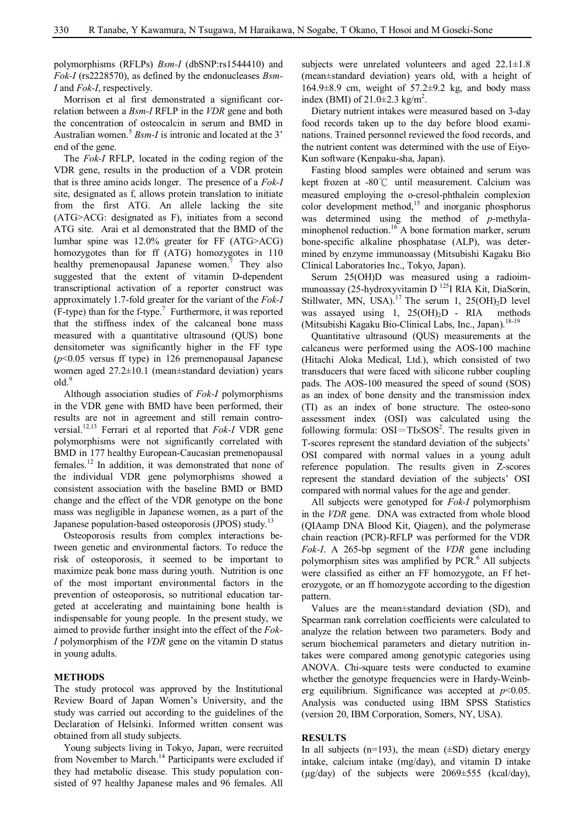polymorphisms (RFLPs) *Bsm-I* (dbSNP:rs1544410) and *Fok-I* (rs2228570), as defined by the endonucleases *Bsm-I* and *Fok-I*, respectively.

Morrison et al first demonstrated a significant correlation between a *Bsm-I* RFLP in the *VDR* gene and both the concentration of osteocalcin in serum and BMD in Australian women. <sup>5</sup> *Bsm-I* is intronic and located at the 3' end of the gene.

The *Fok-I* RFLP, located in the coding region of the VDR gene, results in the production of a VDR protein that is three amino acids longer. The presence of a *Fok-I* site, designated as f, allows protein translation to initiate from the first ATG. An allele lacking the site (ATG>ACG: designated as F), initiates from a second ATG site. Arai et al demonstrated that the BMD of the lumbar spine was 12.0% greater for FF (ATG>ACG) homozygotes than for ff (ATG) homozygotes in 110 healthy premenopausal Japanese women. <sup>7</sup> They also suggested that the extent of vitamin D-dependent transcriptional activation of a reporter construct was approximately 1.7-fold greater for the variant of the *Fok-I* (F-type) than for the f-type.<sup>7</sup> Furthermore, it was reported that the stiffness index of the calcaneal bone mass measured with a quantitative ultrasound (QUS) bone densitometer was significantly higher in the FF type (*p*<0.05 versus ff type) in 126 premenopausal Japanese women aged 27.2±10.1 (mean±standard deviation) years old. 9

Although association studies of *Fok-I* polymorphisms in the VDR gene with BMD have been performed, their results are not in agreement and still remain controversial. 12,13 Ferrari et al reported that *Fok-I* VDR gene polymorphisms were not significantly correlated with BMD in 177 healthy European-Caucasian premenopausal females.<sup>12</sup> In addition, it was demonstrated that none of the individual VDR gene polymorphisms showed a consistent association with the baseline BMD or BMD change and the effect of the VDR genotype on the bone mass was negligible in Japanese women, as a part of the Japanese population-based osteoporosis (JPOS) study.<sup>13</sup>

Osteoporosis results from complex interactions between genetic and environmental factors. To reduce the risk of osteoporosis, it seemed to be important to maximize peak bone mass during youth. Nutrition is one of the most important environmental factors in the prevention of osteoporosis, so nutritional education targeted at accelerating and maintaining bone health is indispensable for young people. In the present study, we aimed to provide further insight into the effect of the *Fok-I* polymorphism of the *VDR* gene on the vitamin D status in young adults.

## **METHODS**

The study protocol was approved by the Institutional Review Board of Japan Women's University, and the study was carried out according to the guidelines of the Declaration of Helsinki. Informed written consent was obtained from all study subjects.

Young subjects living in Tokyo, Japan, were recruited from November to March.<sup>14</sup> Participants were excluded if they had metabolic disease. This study population consisted of 97 healthy Japanese males and 96 females. All

subjects were unrelated volunteers and aged  $22.1 \pm 1.8$ (mean±standard deviation) years old, with a height of 164.9 $\pm$ 8.9 cm, weight of 57.2 $\pm$ 9.2 kg, and body mass index (BMI) of  $21.0 \pm 2.3$  kg/m<sup>2</sup>.

Dietary nutrient intakes were measured based on 3-day food records taken up to the day before blood examinations. Trained personnel reviewed the food records, and the nutrient content was determined with the use of Eiyo-Kun software (Kenpaku-sha, Japan).

Fasting blood samples were obtained and serum was kept frozen at -80℃ until measurement. Calcium was measured employing the o-cresol-phthalein complexion color development method, 15 and inorganic phosphorus was determined using the method of *p*-methylaminophenol reduction. <sup>16</sup> A bone formation marker, serum bone-specific alkaline phosphatase (ALP), was determined by enzyme immunoassay (Mitsubishi Kagaku Bio Clinical Laboratories Inc., Tokyo, Japan).

Serum 25(OH)D was measured using a radioimmunoassay (25-hydroxyvitamin D<sup>125</sup>I RIA Kit, DiaSorin, Stillwater, MN, USA).<sup>17</sup> The serum 1, 25(OH)<sub>2</sub>D level was assayed using 1,  $25(OH)<sub>2</sub>D$  - RIA methods (Mitsubishi Kagaku Bio-Clinical Labs, Inc., Japan).<sup>18-19</sup>

Quantitative ultrasound (QUS) measurements at the calcaneus were performed using the AOS-100 machine (Hitachi Aloka Medical, Ltd.), which consisted of two transducers that were faced with silicone rubber coupling pads. The AOS-100 measured the speed of sound (SOS) as an index of bone density and the transmission index (TI) as an index of bone structure. The osteo-sono assessment index (OSI) was calculated using the following formula:  $OSI = TI \times SOS^2$ . The results given in T-scores represent the standard deviation of the subjects' OSI compared with normal values in a young adult reference population. The results given in Z-scores represent the standard deviation of the subjects' OSI compared with normal values for the age and gender.

All subjects were genotyped for *Fok-I* polymorphism in the *VDR* gene. DNA was extracted from whole blood (QIAamp DNA Blood Kit, Qiagen), and the polymerase chain reaction (PCR)-RFLP was performed for the VDR *Fok-I*. A 265-bp segment of the *VDR* gene including polymorphism sites was amplified by PCR. <sup>6</sup> All subjects were classified as either an FF homozygote, an Ff heterozygote, or an ff homozygote according to the digestion pattern.

Values are the mean±standard deviation (SD), and Spearman rank correlation coefficients were calculated to analyze the relation between two parameters. Body and serum biochemical parameters and dietary nutrition intakes were compared among genotypic categories using ANOVA. Chi-square tests were conducted to examine whether the genotype frequencies were in Hardy-Weinberg equilibrium. Significance was accepted at *p*<0.05. Analysis was conducted using IBM SPSS Statistics (version 20, IBM Corporation, Somers, NY, USA).

#### **RESULTS**

In all subjects (n=193), the mean  $(\pm SD)$  dietary energy intake, calcium intake (mg/day), and vitamin D intake  $(\mu$ g/day) of the subjects were 2069 $\pm$ 555 (kcal/day),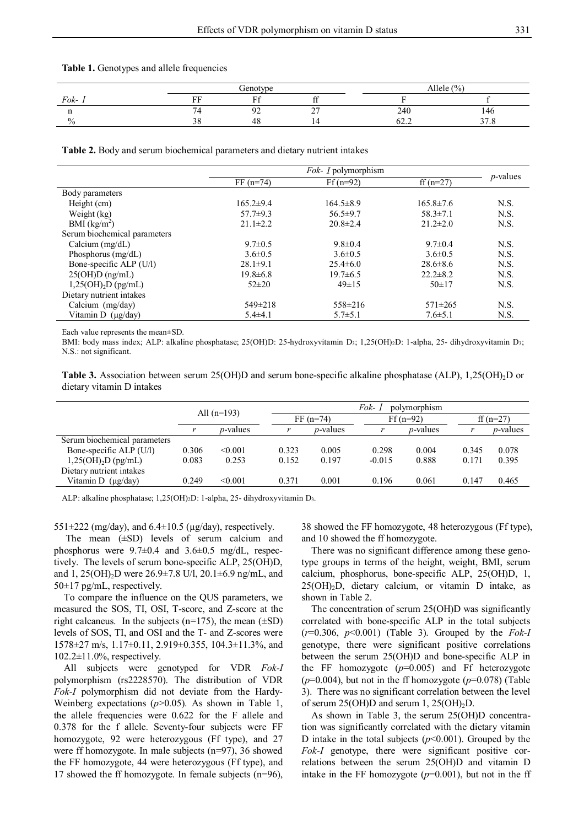#### **Table 1.** Genotypes and allele frequencies

|      |          | Genotype                                |        |                       | Allele $(\% )$         |  |  |
|------|----------|-----------------------------------------|--------|-----------------------|------------------------|--|--|
| Fok- | FГ       | $\Gamma$ <sup><math>\alpha</math></sup> | $\sim$ |                       |                        |  |  |
|      |          | $\Omega$<br>.                           | $\sim$ | 240                   | 146                    |  |  |
| $\%$ | າດ<br>υo | 48                                      |        | $\sim$ $\sim$<br>∪∠…∠ | 270<br>$\cup$ . $\cup$ |  |  |

**Table 2.** Body and serum biochemical parameters and dietary nutrient intakes

|                              | $FF(n=74)$      | $Ff(n=92)$      | ff $(n=27)$     | $p$ -values |
|------------------------------|-----------------|-----------------|-----------------|-------------|
| Body parameters              |                 |                 |                 |             |
| Height (cm)                  | $165.2 \pm 9.4$ | $164.5 \pm 8.9$ | $165.8 \pm 7.6$ | N.S.        |
| Weight (kg)                  | $57.7 \pm 9.3$  | $56.5 \pm 9.7$  | $58.3 \pm 7.1$  | N.S.        |
| BMI $(kg/m2)$                | $21.1 \pm 2.2$  | $20.8 \pm 2.4$  | $21.2 \pm 2.0$  | N.S.        |
| Serum biochemical parameters |                 |                 |                 |             |
| Calcium $(mg/dL)$            | $9.7 \pm 0.5$   | $9.8 \pm 0.4$   | $9.7 \pm 0.4$   | N.S.        |
| Phosphorus $(mg/dL)$         | $3.6 \pm 0.5$   | $3.6 \pm 0.5$   | $3.6 \pm 0.5$   | N.S.        |
| Bone-specific ALP (U/l)      | $28.1 \pm 9.1$  | $25.4\pm 6.0$   | $28.6 \pm 8.6$  | N.S.        |
| $25(OH)D$ (ng/mL)            | $19.8 \pm 6.8$  | $19.7 \pm 6.5$  | $22.2 \pm 8.2$  | N.S.        |
| $1,25(OH)_{2}D$ (pg/mL)      | $52\pm20$       | $49 \pm 15$     | $50 \pm 17$     | N.S.        |
| Dietary nutrient intakes     |                 |                 |                 |             |
| Calcium $(mg/day)$           | $549 \pm 218$   | $558 \pm 216$   | $571 \pm 265$   | N.S.        |
| Vitamin D $(\mu$ g/day)      | $5.4 \pm 4.1$   | $5.7 \pm 5.1$   | $7.6 \pm 5.1$   | N.S.        |

Each value represents the mean±SD.

BMI: body mass index; ALP: alkaline phosphatase; 25(OH)D: 25-hydroxyvitamin D<sub>3</sub>; 1,25(OH)<sub>2</sub>D: 1-alpha, 25- dihydroxyvitamin D<sub>3</sub>; N.S.: not significant.

**Table 3.** Association between serum 25(OH)D and serum bone-specific alkaline phosphatase (ALP), 1,25(OH)<sub>2</sub>D or dietary vitamin D intakes

|                              | All $(n=193)$ |                  | Fok- 1<br>polymorphism |                  |            |                  |             |                  |
|------------------------------|---------------|------------------|------------------------|------------------|------------|------------------|-------------|------------------|
|                              |               |                  | $FF(n=74)$             |                  | $Ff(n=92)$ |                  | ff $(n=27)$ |                  |
|                              |               | <i>p</i> -values |                        | <i>p</i> -values |            | <i>p</i> -values |             | <i>p</i> -values |
| Serum biochemical parameters |               |                  |                        |                  |            |                  |             |                  |
| Bone-specific ALP (U/l)      | 0.306         | < 0.001          | 0.323                  | 0.005            | 0.298      | 0.004            | 0.345       | 0.078            |
| $1,25(OH)_{2}D$ (pg/mL)      | 0.083         | 0.253            | 0.152                  | 0.197            | $-0.015$   | 0.888            | 0.171       | 0.395            |
| Dietary nutrient intakes     |               |                  |                        |                  |            |                  |             |                  |
| Vitamin D $(\mu g/day)$      | 0.249         | < 0.001          | 0.371                  | 0.001            | 0.196      | 0.061            | 0.147       | 0.465            |
|                              |               |                  |                        |                  |            |                  |             |                  |

ALP: alkaline phosphatase; 1,25(OH)2D: 1-alpha, 25- dihydroxyvitamin D3.

551 $\pm$ 222 (mg/day), and 6.4 $\pm$ 10.5 (µg/day), respectively.

The mean (±SD) levels of serum calcium and phosphorus were  $9.7\pm0.4$  and  $3.6\pm0.5$  mg/dL, respectively. The levels of serum bone-specific ALP, 25(OH)D, and 1, 25(OH)2D were 26.9±7.8 U/l, 20.1±6.9 ng/mL, and 50±17 pg/mL, respectively.

To compare the influence on the QUS parameters, we measured the SOS, TI, OSI, T-score, and Z-score at the right calcaneus. In the subjects ( $n=175$ ), the mean ( $\pm SD$ ) levels of SOS, TI, and OSI and the T- and Z-scores were 1578±27 m/s, 1.17±0.11, 2.919±0.355, 104.3±11.3%, and 102.2±11.0%, respectively.

All subjects were genotyped for VDR *Fok-I* polymorphism (rs2228570). The distribution of VDR *Fok-I* polymorphism did not deviate from the Hardy-Weinberg expectations ( $p$ >0.05). As shown in Table 1, the allele frequencies were 0.622 for the F allele and 0.378 for the f allele. Seventy-four subjects were FF homozygote, 92 were heterozygous (Ff type), and 27 were ff homozygote. In male subjects (n=97), 36 showed the FF homozygote, 44 were heterozygous (Ff type), and 17 showed the ff homozygote. In female subjects (n=96), 38 showed the FF homozygote, 48 heterozygous (Ff type), and 10 showed the ff homozygote.

There was no significant difference among these genotype groups in terms of the height, weight, BMI, serum calcium, phosphorus, bone-specific ALP, 25(OH)D, 1,  $25(OH)<sub>2</sub>D$ , dietary calcium, or vitamin D intake, as shown in Table 2.

The concentration of serum 25(OH)D was significantly correlated with bone-specific ALP in the total subjects (*r*=0.306, *p*<0.001) (Table 3). Grouped by the *Fok-I* genotype, there were significant positive correlations between the serum 25(OH)D and bone-specific ALP in the FF homozygote (*p*=0.005) and Ff heterozygote (*p*=0.004), but not in the ff homozygote (*p*=0.078) (Table 3). There was no significant correlation between the level of serum  $25(OH)D$  and serum 1,  $25(OH)<sub>2</sub>D$ .

As shown in Table 3, the serum 25(OH)D concentration was significantly correlated with the dietary vitamin D intake in the total subjects  $(p<0.001)$ . Grouped by the *Fok-I* genotype, there were significant positive correlations between the serum 25(OH)D and vitamin D intake in the FF homozygote  $(p=0.001)$ , but not in the ff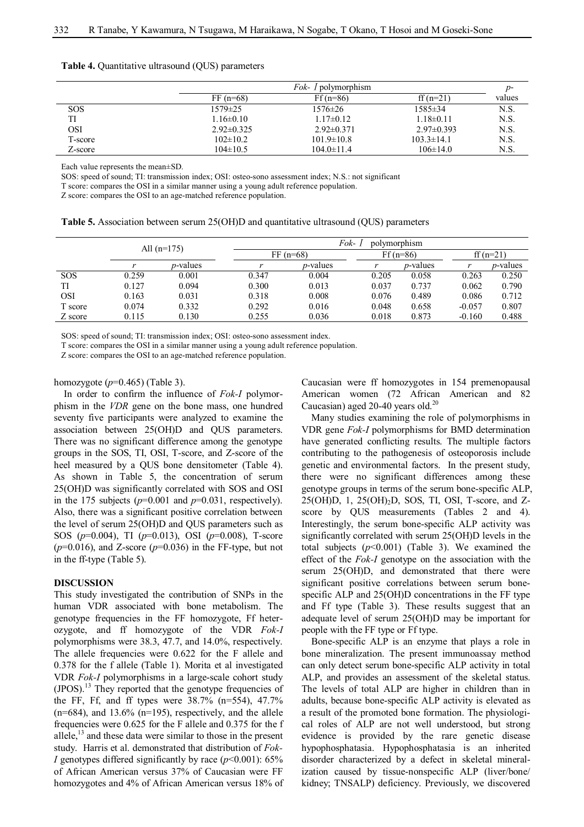|  | <b>Table 4.</b> Quantitative ultrasound (QUS) parameters |  |  |  |
|--|----------------------------------------------------------|--|--|--|
|--|----------------------------------------------------------|--|--|--|

|            |                 | <i>Fok- I</i> polymorphism |                  | p-     |
|------------|-----------------|----------------------------|------------------|--------|
|            | $FF(n=68)$      | $Ff(n=86)$                 | ff $(n=21)$      | values |
| <b>SOS</b> | 1579±25         | $1576 \pm 26$              | 1585±34          | N.S.   |
| TI         | $1.16 \pm 0.10$ | $1.17 \pm 0.12$            | $1.18 \pm 0.11$  | N.S.   |
| OSI        | $2.92\pm 0.325$ | $2.92\pm 0.371$            | $2.97\pm 0.393$  | N.S.   |
| T-score    | $102\pm10.2$    | $101.9 \pm 10.8$           | $103.3 \pm 14.1$ | N.S.   |
| Z-score    | $104 \pm 10.5$  | $104.0 \pm 11.4$           | $106\pm14.0$     | N.S.   |

Each value represents the mean±SD.

SOS: speed of sound; TI: transmission index; OSI: osteo-sono assessment index; N.S.: not significant

T score: compares the OSI in a similar manner using a young adult reference population.

Z score: compares the OSI to an age-matched reference population.

**Table 5.** Association between serum 25(OH)D and quantitative ultrasound (QUS) parameters

|            | All $(n=175)$ |                  | Fok-<br>polymorphism |                  |            |                  |             |                  |  |
|------------|---------------|------------------|----------------------|------------------|------------|------------------|-------------|------------------|--|
|            |               |                  | $FF(n=68)$           |                  | $Ff(n=86)$ |                  | ff $(n=21)$ |                  |  |
|            |               | <i>p</i> -values |                      | <i>p</i> -values |            | <i>p</i> -values |             | <i>p</i> -values |  |
| <b>SOS</b> | 0.259         | 0.001            | 0.347                | 0.004            | 0.205      | 0.058            | 0.263       | 0.250            |  |
| TI         | 0.127         | 0.094            | 0.300                | 0.013            | 0.037      | 0.737            | 0.062       | 0.790            |  |
| <b>OSI</b> | 0.163         | 0.031            | 0.318                | 0.008            | 0.076      | 0.489            | 0.086       | 0.712            |  |
| T score    | 0.074         | 0.332            | 0.292                | 0.016            | 0.048      | 0.658            | $-0.057$    | 0.807            |  |
| Z score    | 0.115         | 0.130            | 0.255                | 0.036            | 0.018      | 0.873            | $-0.160$    | 0.488            |  |

SOS: speed of sound; TI: transmission index; OSI: osteo-sono assessment index.

T score: compares the OSI in a similar manner using a young adult reference population.

Z score: compares the OSI to an age-matched reference population.

homozygote (*p*=0.465) (Table 3).

In order to confirm the influence of *Fok-I* polymorphism in the *VDR* gene on the bone mass, one hundred seventy five participants were analyzed to examine the association between 25(OH)D and QUS parameters. There was no significant difference among the genotype groups in the SOS, TI, OSI, T-score, and Z-score of the heel measured by a QUS bone densitometer (Table 4). As shown in Table 5, the concentration of serum 25(OH)D was significantly correlated with SOS and OSI in the 175 subjects ( $p=0.001$  and  $p=0.031$ , respectively). Also, there was a significant positive correlation between the level of serum 25(OH)D and QUS parameters such as SOS (*p*=0.004), TI (*p*=0.013), OSI (*p*=0.008), T-score  $(p=0.016)$ , and Z-score  $(p=0.036)$  in the FF-type, but not in the ff-type (Table 5).

#### **DISCUSSION**

This study investigated the contribution of SNPs in the human VDR associated with bone metabolism. The genotype frequencies in the FF homozygote, Ff heterozygote, and ff homozygote of the VDR *Fok-I* polymorphisms were 38.3, 47.7, and 14.0%, respectively. The allele frequencies were 0.622 for the F allele and 0.378 for the f allele (Table 1). Morita et al investigated VDR *Fok-I* polymorphisms in a large-scale cohort study (JPOS). <sup>13</sup> They reported that the genotype frequencies of the FF, Ff, and ff types were 38.7% (n=554), 47.7%  $(n=684)$ , and 13.6%  $(n=195)$ , respectively, and the allele frequencies were 0.625 for the F allele and 0.375 for the f allele, $^{13}$  and these data were similar to those in the present study. Harris et al. demonstrated that distribution of *Fok-I* genotypes differed significantly by race (*p*<0.001): 65% of African American versus 37% of Caucasian were FF homozygotes and 4% of African American versus 18% of Caucasian were ff homozygotes in 154 premenopausal American women (72 African American and 82 Caucasian) aged 20-40 years old.<sup>20</sup>

Many studies examining the role of polymorphisms in VDR gene *Fok-I* polymorphisms for BMD determination have generated conflicting results. The multiple factors contributing to the pathogenesis of osteoporosis include genetic and environmental factors. In the present study, there were no significant differences among these genotype groups in terms of the serum bone-specific ALP, 25(OH)D, 1, 25(OH)2D, SOS, TI, OSI, T-score, and Zscore by QUS measurements (Tables 2 and 4). Interestingly, the serum bone-specific ALP activity was significantly correlated with serum 25(OH)D levels in the total subjects (*p*<0.001) (Table 3). We examined the effect of the *Fok-I* genotype on the association with the serum 25(OH)D, and demonstrated that there were significant positive correlations between serum bonespecific ALP and 25(OH)D concentrations in the FF type and Ff type (Table 3). These results suggest that an adequate level of serum 25(OH)D may be important for people with the FF type or Ff type.

Bone-specific ALP is an enzyme that plays a role in bone mineralization. The present immunoassay method can only detect serum bone-specific ALP activity in total ALP, and provides an assessment of the skeletal status. The levels of total ALP are higher in children than in adults, because bone-specific ALP activity is elevated as a result of the promoted bone formation. The physiological roles of ALP are not well understood, but strong evidence is provided by the rare genetic disease hypophosphatasia. Hypophosphatasia is an inherited disorder characterized by a defect in skeletal mineralization caused by tissue-nonspecific ALP (liver/bone/ kidney; TNSALP) deficiency. Previously, we discovered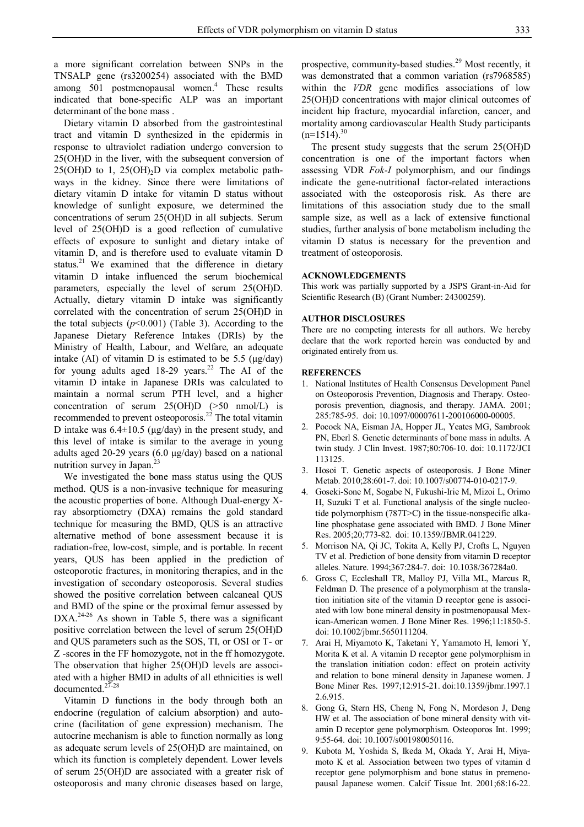a more significant correlation between SNPs in the TNSALP gene (rs3200254) associated with the BMD among 501 postmenopausal women. <sup>4</sup> These results indicated that bone-specific ALP was an important determinant of the bone mass .

Dietary vitamin D absorbed from the gastrointestinal tract and vitamin D synthesized in the epidermis in response to ultraviolet radiation undergo conversion to 25(OH)D in the liver, with the subsequent conversion of  $25(OH)D$  to 1,  $25(OH)_{2}D$  via complex metabolic pathways in the kidney. Since there were limitations of dietary vitamin D intake for vitamin D status without knowledge of sunlight exposure, we determined the concentrations of serum 25(OH)D in all subjects. Serum level of 25(OH)D is a good reflection of cumulative effects of exposure to sunlight and dietary intake of vitamin D, and is therefore used to evaluate vitamin D status.<sup>21</sup> We examined that the difference in dietary vitamin D intake influenced the serum biochemical parameters, especially the level of serum 25(OH)D. Actually, dietary vitamin D intake was significantly correlated with the concentration of serum 25(OH)D in the total subjects  $(p<0.001)$  (Table 3). According to the Japanese Dietary Reference Intakes (DRIs) by the Ministry of Health, Labour, and Welfare, an adequate intake (AI) of vitamin D is estimated to be 5.5 ( $\mu$ g/day) for young adults aged  $18-29$  years.<sup>22</sup> The AI of the vitamin D intake in Japanese DRIs was calculated to maintain a normal serum PTH level, and a higher concentration of serum 25(OH)D (>50 nmol/L) is recommended to prevent osteoporosis.<sup>22</sup> The total vitamin D intake was  $6.4 \pm 10.5$  ( $\mu$ g/day) in the present study, and this level of intake is similar to the average in young adults aged 20-29 years (6.0 µg/day) based on a national nutrition survey in Japan.<sup>23</sup>

We investigated the bone mass status using the QUS method. QUS is a non-invasive technique for measuring the acoustic properties of bone. Although Dual-energy Xray absorptiometry (DXA) remains the gold standard technique for measuring the BMD, QUS is an attractive alternative method of bone assessment because it is radiation-free, low-cost, simple, and is portable. In recent years, QUS has been applied in the prediction of osteoporotic fractures, in monitoring therapies, and in the investigation of secondary osteoporosis. Several studies showed the positive correlation between calcaneal QUS and BMD of the spine or the proximal femur assessed by DXA.<sup>24-26</sup> As shown in Table 5, there was a significant positive correlation between the level of serum 25(OH)D and QUS parameters such as the SOS, TI, or OSI or T- or Z -scores in the FF homozygote, not in the ff homozygote. The observation that higher 25(OH)D levels are associated with a higher BMD in adults of all ethnicities is well documented. 27-28

Vitamin D functions in the body through both an endocrine (regulation of calcium absorption) and autocrine (facilitation of gene expression) mechanism. The autocrine mechanism is able to function normally as long as adequate serum levels of 25(OH)D are maintained, on which its function is completely dependent. Lower levels of serum 25(OH)D are associated with a greater risk of osteoporosis and many chronic diseases based on large,

prospective, community-based studies.<sup>29</sup> Most recently, it was demonstrated that a common variation (rs7968585) within the *VDR* gene modifies associations of low 25(OH)D concentrations with major clinical outcomes of incident hip fracture, myocardial infarction, cancer, and mortality among cardiovascular Health Study participants  $(n=1514).^{30}$ 

The present study suggests that the serum 25(OH)D concentration is one of the important factors when assessing VDR *Fok-I* polymorphism, and our findings indicate the gene-nutritional factor-related interactions associated with the osteoporosis risk. As there are limitations of this association study due to the small sample size, as well as a lack of extensive functional studies, further analysis of bone metabolism including the vitamin D status is necessary for the prevention and treatment of osteoporosis.

#### **ACKNOWLEDGEMENTS**

This work was partially supported by a JSPS Grant-in-Aid for Scientific Research (B) (Grant Number: 24300259).

### **AUTHOR DISCLOSURES**

There are no competing interests for all authors. We hereby declare that the work reported herein was conducted by and originated entirely from us.

### **REFERENCES**

- 1. National Institutes of Health Consensus Development Panel on Osteoporosis Prevention, Diagnosis and Therapy. Osteoporosis prevention, diagnosis, and therapy. JAMA. 2001; 285:785-95. doi: 10.1097/00007611-200106000-00005.
- 2. Pocock NA, Eisman JA, Hopper JL, Yeates MG, Sambrook PN, Eberl S. Genetic determinants of bone mass in adults. A twin study. J Clin Invest. 1987;80:706-10. doi: 10.1172/JCI 113125.
- 3. Hosoi T. Genetic aspects of osteoporosis. J Bone Miner Metab. 2010;28:601-7. doi: 10.1007/s00774-010-0217-9.
- 4. Goseki-Sone M, Sogabe N, Fukushi-Irie M, Mizoi L, Orimo H, Suzuki T et al. Functional analysis of the single nucleotide polymorphism (787T>C) in the tissue-nonspecific alkaline phosphatase gene associated with BMD. J Bone Miner Res. 2005;20;773-82. doi: 10.1359/JBMR.041229.
- 5. Morrison NA, Qi JC, Tokita A, Kelly PJ, Crofts L, Nguyen TV et al. Prediction of bone density from vitamin D receptor alleles. Nature. 1994;367:284-7. doi: 10.1038/367284a0.
- 6. Gross C, Eccleshall TR, Malloy PJ, Villa ML, Marcus R, Feldman D. The presence of a polymorphism at the translation initiation site of the vitamin D receptor gene is associated with low bone mineral density in postmenopausal Mexican-American women. J Bone Miner Res. 1996;11:1850-5. doi: 10.1002/jbmr.5650111204.
- 7. Arai H, Miyamoto K, Taketani Y, Yamamoto H, Iemori Y, Morita K et al. A vitamin D receptor gene polymorphism in the translation initiation codon: effect on protein activity and relation to bone mineral density in Japanese women. J Bone Miner Res. 1997;12:915-21. doi:10.1359/jbmr.1997.1 2.6.915.
- 8. Gong G, Stern HS, Cheng N, Fong N, Mordeson J, Deng HW et al. The association of bone mineral density with vitamin D receptor gene polymorphism. Osteoporos Int. 1999; 9:55-64. doi: 10.1007/s001980050116.
- 9. Kubota M, Yoshida S, Ikeda M, Okada Y, Arai H, Miyamoto K et al. Association between two types of vitamin d receptor gene polymorphism and bone status in premenopausal Japanese women. Calcif Tissue Int. 2001;68:16-22.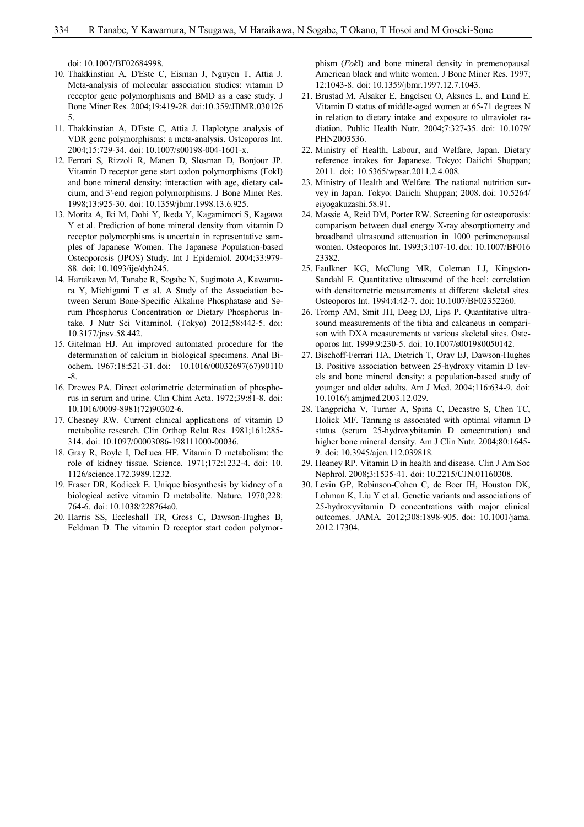doi: 10.1007/BF02684998.

- 10. Thakkinstian A, D'Este C, Eisman J, Nguyen T, Attia J. Meta-analysis of molecular association studies: vitamin D receptor gene polymorphisms and BMD as a case study. J Bone Miner Res. 2004;19:419-28. doi:10.359/JBMR.030126 5.
- 11. Thakkinstian A, D'Este C, Attia J. Haplotype analysis of VDR gene polymorphisms: a meta-analysis. Osteoporos Int. 2004;15:729-34. doi: 10.1007/s00198-004-1601-x.
- 12. Ferrari S, Rizzoli R, Manen D, Slosman D, Bonjour JP. Vitamin D receptor gene start codon polymorphisms (FokI) and bone mineral density: interaction with age, dietary calcium, and 3'-end region polymorphisms. J Bone Miner Res. 1998;13:925-30. doi: 10.1359/jbmr.1998.13.6.925.
- 13. Morita A, Iki M, Dohi Y, Ikeda Y, Kagamimori S, Kagawa Y et al. Prediction of bone mineral density from vitamin D receptor polymorphisms is uncertain in representative samples of Japanese Women. The Japanese Population-based Osteoporosis (JPOS) Study. Int J Epidemiol. 2004;33:979- 88. doi: 10.1093/ije/dyh245.
- 14. Haraikawa M, Tanabe R, Sogabe N, Sugimoto A, Kawamura Y, Michigami T et al. A Study of the Association between Serum Bone-Specific Alkaline Phosphatase and Serum Phosphorus Concentration or Dietary Phosphorus Intake. J Nutr Sci Vitaminol. (Tokyo) 2012;58:442-5. doi: 10.3177/jnsv.58.442.
- 15. Gitelman HJ. An improved automated procedure for the determination of calcium in biological specimens. Anal Biochem. 1967;18:521-31. doi: 10.1016/00032697(67)90110 -8.
- 16. Drewes PA. Direct colorimetric determination of phosphorus in serum and urine. Clin Chim Acta. 1972;39:81-8. doi: 10.1016/0009-8981(72)90302-6.
- 17. Chesney RW. Current clinical applications of vitamin D metabolite research. Clin Orthop Relat Res. 1981;161:285- 314. doi: 10.1097/00003086-198111000-00036.
- 18. Gray R, Boyle I, DeLuca HF. Vitamin D metabolism: the role of kidney tissue. Science. 1971;172:1232-4. doi: 10. 1126/science.172.3989.1232.
- 19. Fraser DR, Kodicek E. Unique biosynthesis by kidney of a biological active vitamin D metabolite. Nature. 1970;228: 764-6. doi: 10.1038/228764a0.
- 20. Harris SS, Eccleshall TR, Gross C, Dawson-Hughes B, Feldman D. The vitamin D receptor start codon polymor-

phism (*Fok*I) and bone mineral density in premenopausal American black and white women. J Bone Miner Res. 1997; 12:1043-8. doi: 10.1359/jbmr.1997.12.7.1043.

- 21. Brustad M, Alsaker E, Engelsen O, Aksnes L, and Lund E. Vitamin D status of middle-aged women at 65-71 degrees N in relation to dietary intake and exposure to ultraviolet radiation. Public Health Nutr. 2004;7:327-35. doi: 10.1079/ PHN2003536.
- 22. Ministry of Health, Labour, and Welfare, Japan. Dietary reference intakes for Japanese. Tokyo: Daiichi Shuppan; 2011. doi: 10.5365/wpsar.2011.2.4.008.
- 23. Ministry of Health and Welfare. The national nutrition survey in Japan. Tokyo: Daiichi Shuppan; 2008. doi: 10.5264/ eiyogakuzashi.58.91.
- 24. Massie A, Reid DM, Porter RW. Screening for osteoporosis: comparison between dual energy X-ray absorptiometry and broadband ultrasound attenuation in 1000 perimenopausal women. Osteoporos Int. 1993;3:107-10. doi: 10.1007/BF016 23382.
- 25. Faulkner KG, McClung MR, Coleman LJ, Kingston-Sandahl E. Quantitative ultrasound of the heel: correlation with densitometric measurements at different skeletal sites. Osteoporos Int. 1994:4:42-7. doi: 10.1007/BF02352260.
- 26. Tromp AM, Smit JH, Deeg DJ, Lips P. Quantitative ultrasound measurements of the tibia and calcaneus in comparison with DXA measurements at various skeletal sites. Osteoporos Int. 1999:9:230-5. doi: 10.1007/s001980050142.
- 27. Bischoff-Ferrari HA, Dietrich T, Orav EJ, Dawson-Hughes B. Positive association between 25-hydroxy vitamin D levels and bone mineral density: a population-based study of younger and older adults. Am J Med. 2004;116:634-9. doi: 10.1016/j.amjmed.2003.12.029.
- 28. Tangpricha V, Turner A, Spina C, Decastro S, Chen TC, Holick MF. Tanning is associated with optimal vitamin D status (serum 25-hydroxybitamin D concentration) and higher bone mineral density. Am J Clin Nutr. 2004;80:1645- 9. doi: 10.3945/ajcn.112.039818.
- 29. Heaney RP. Vitamin D in health and disease. Clin J Am Soc Nephrol. 2008;3:1535-41. doi: 10.2215/CJN.01160308.
- 30. Levin GP, Robinson-Cohen C, de Boer IH, Houston DK, Lohman K, Liu Y et al. Genetic variants and associations of 25-hydroxyvitamin D concentrations with major clinical outcomes. JAMA. 2012;308:1898-905. doi: 10.1001/jama. 2012.17304.